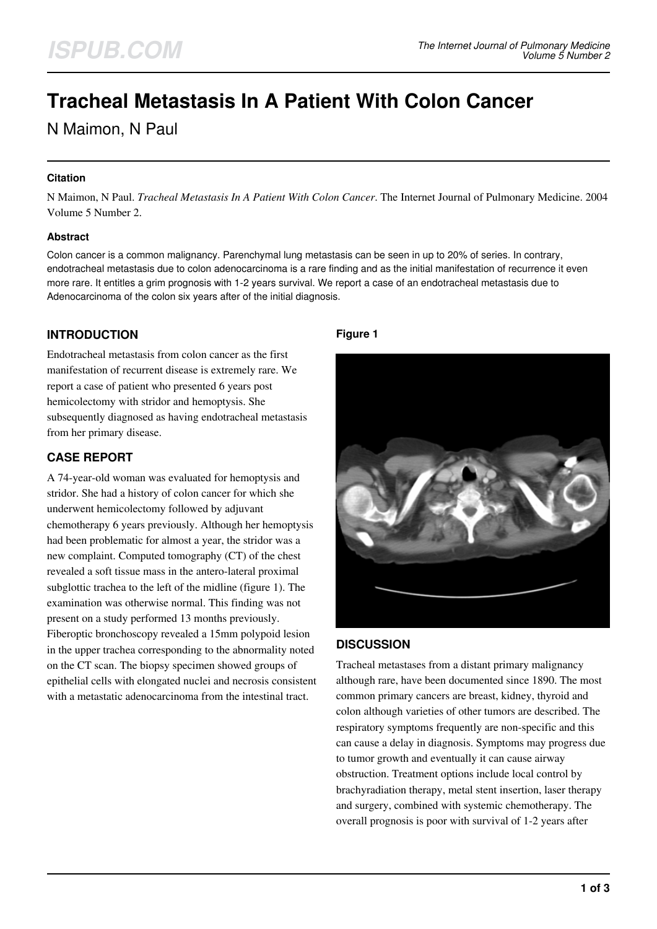# **Tracheal Metastasis In A Patient With Colon Cancer**

N Maimon, N Paul

## **Citation**

N Maimon, N Paul. *Tracheal Metastasis In A Patient With Colon Cancer*. The Internet Journal of Pulmonary Medicine. 2004 Volume 5 Number 2.

## **Abstract**

Colon cancer is a common malignancy. Parenchymal lung metastasis can be seen in up to 20% of series. In contrary, endotracheal metastasis due to colon adenocarcinoma is a rare finding and as the initial manifestation of recurrence it even more rare. It entitles a grim prognosis with 1-2 years survival. We report a case of an endotracheal metastasis due to Adenocarcinoma of the colon six years after of the initial diagnosis.

# **INTRODUCTION**

Endotracheal metastasis from colon cancer as the first manifestation of recurrent disease is extremely rare. We report a case of patient who presented 6 years post hemicolectomy with stridor and hemoptysis. She subsequently diagnosed as having endotracheal metastasis from her primary disease.

# **CASE REPORT**

A 74-year-old woman was evaluated for hemoptysis and stridor. She had a history of colon cancer for which she underwent hemicolectomy followed by adjuvant chemotherapy 6 years previously. Although her hemoptysis had been problematic for almost a year, the stridor was a new complaint. Computed tomography (CT) of the chest revealed a soft tissue mass in the antero-lateral proximal subglottic trachea to the left of the midline (figure 1). The examination was otherwise normal. This finding was not present on a study performed 13 months previously. Fiberoptic bronchoscopy revealed a 15mm polypoid lesion in the upper trachea corresponding to the abnormality noted on the CT scan. The biopsy specimen showed groups of epithelial cells with elongated nuclei and necrosis consistent with a metastatic adenocarcinoma from the intestinal tract.

## **Figure 1**



#### **DISCUSSION**

Tracheal metastases from a distant primary malignancy although rare, have been documented since 1890. The most common primary cancers are breast, kidney, thyroid and colon although varieties of other tumors are described. The respiratory symptoms frequently are non-specific and this can cause a delay in diagnosis. Symptoms may progress due to tumor growth and eventually it can cause airway obstruction. Treatment options include local control by brachyradiation therapy, metal stent insertion, laser therapy and surgery, combined with systemic chemotherapy. The overall prognosis is poor with survival of 1-2 years after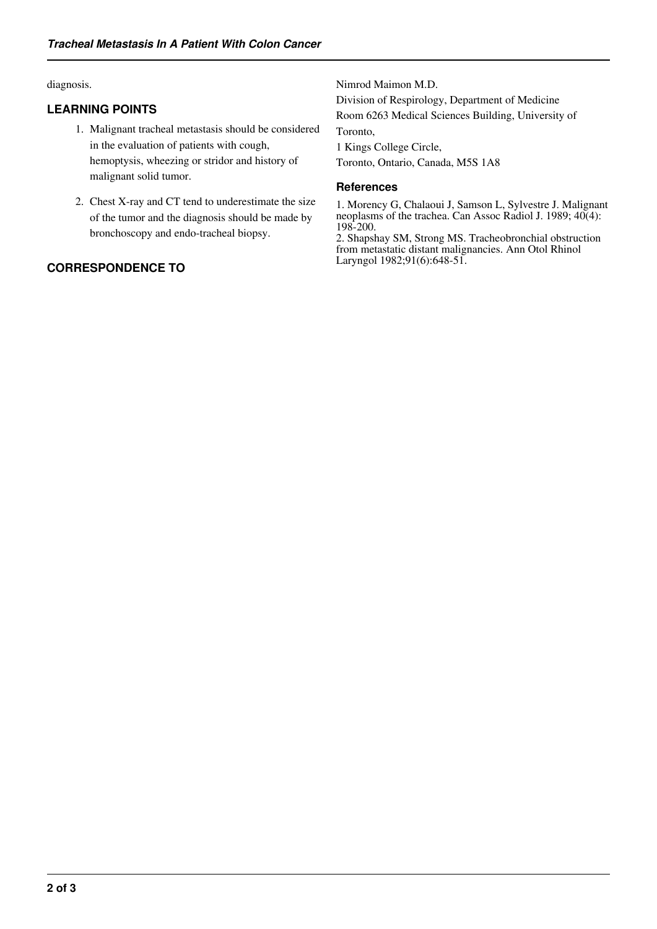diagnosis.

## **LEARNING POINTS**

- 1. Malignant tracheal metastasis should be considered in the evaluation of patients with cough, hemoptysis, wheezing or stridor and history of malignant solid tumor.
- 2. Chest X-ray and CT tend to underestimate the size of the tumor and the diagnosis should be made by bronchoscopy and endo-tracheal biopsy.

# **CORRESPONDENCE TO**

Nimrod Maimon M.D.

Division of Respirology, Department of Medicine Room 6263 Medical Sciences Building, University of Toronto,

1 Kings College Circle,

Toronto, Ontario, Canada, M5S 1A8

#### **References**

1. Morency G, Chalaoui J, Samson L, Sylvestre J. Malignant neoplasms of the trachea. Can Assoc Radiol J. 1989; 40(4): 198-200.

2. Shapshay SM, Strong MS. Tracheobronchial obstruction from metastatic distant malignancies. Ann Otol Rhinol Laryngol 1982;91(6):648-51.